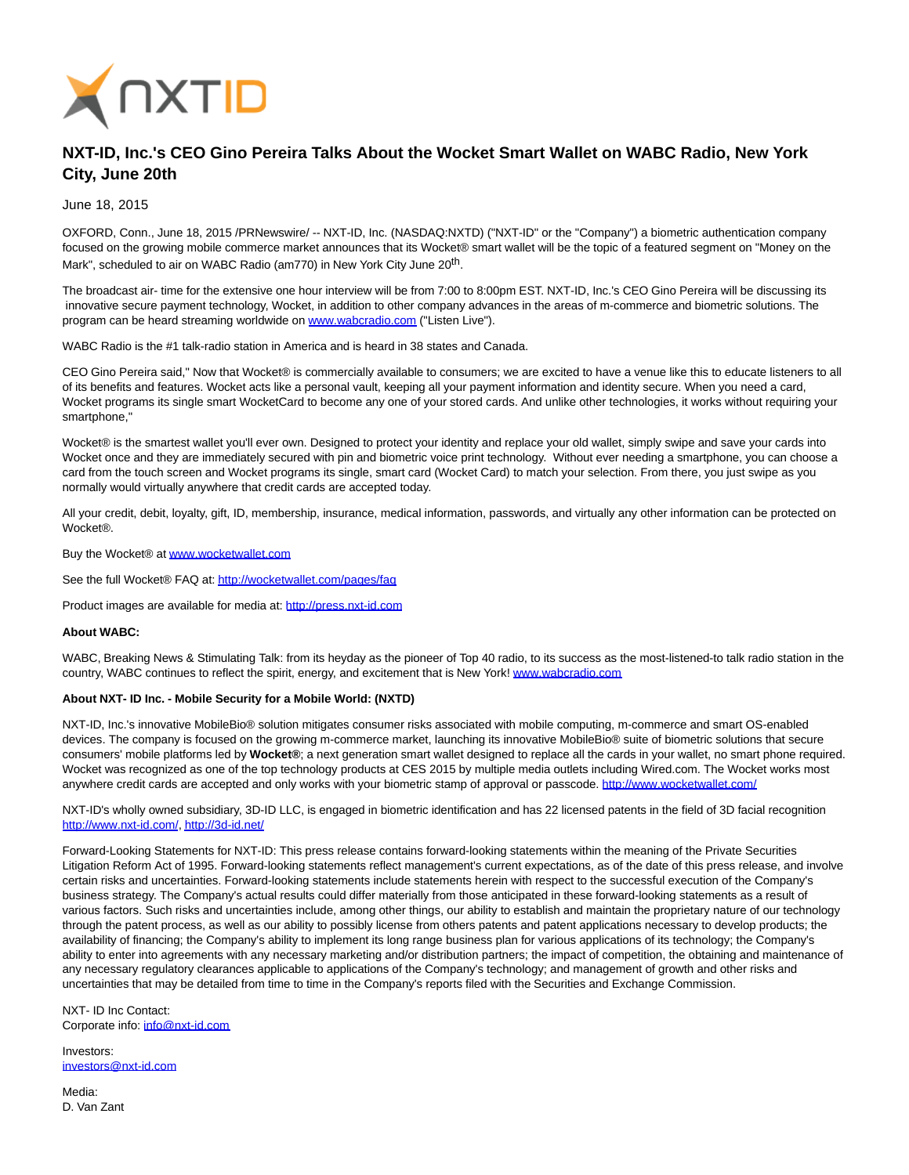

## **NXT-ID, Inc.'s CEO Gino Pereira Talks About the Wocket Smart Wallet on WABC Radio, New York City, June 20th**

June 18, 2015

OXFORD, Conn., June 18, 2015 /PRNewswire/ -- NXT-ID, Inc. (NASDAQ:NXTD) ("NXT-ID" or the "Company") a biometric authentication company focused on the growing mobile commerce market announces that its Wocket® smart wallet will be the topic of a featured segment on "Money on the Mark", scheduled to air on WABC Radio (am770) in New York City June 20<sup>th</sup>.

The broadcast air- time for the extensive one hour interview will be from 7:00 to 8:00pm EST. NXT-ID, Inc.'s CEO Gino Pereira will be discussing its innovative secure payment technology, Wocket, in addition to other company advances in the areas of m-commerce and biometric solutions. The program can be heard streaming worldwide on [www.wabcradio.com \(](http://www.wabcradio.com/)"Listen Live").

WABC Radio is the #1 talk-radio station in America and is heard in 38 states and Canada.

CEO Gino Pereira said," Now that Wocket® is commercially available to consumers; we are excited to have a venue like this to educate listeners to all of its benefits and features. Wocket acts like a personal vault, keeping all your payment information and identity secure. When you need a card, Wocket programs its single smart WocketCard to become any one of your stored cards. And unlike other technologies, it works without requiring your smartphone,"

Wocket® is the smartest wallet you'll ever own. Designed to protect your identity and replace your old wallet, simply swipe and save your cards into Wocket once and they are immediately secured with pin and biometric voice print technology. Without ever needing a smartphone, you can choose a card from the touch screen and Wocket programs its single, smart card (Wocket Card) to match your selection. From there, you just swipe as you normally would virtually anywhere that credit cards are accepted today.

All your credit, debit, loyalty, gift, ID, membership, insurance, medical information, passwords, and virtually any other information can be protected on **Wocket®** 

Buy the Wocket® a[t www.wocketwallet.com](http://www.wocketwallet.com/)

See the full Wocket® FAQ at:<http://wocketwallet.com/pages/faq>

Product images are available for media at: [http://press.nxt-id.com](http://press.nxt-id.com/)

## **About WABC:**

WABC, Breaking News & Stimulating Talk: from its heyday as the pioneer of Top 40 radio, to its success as the most-listened-to talk radio station in the country, WABC continues to reflect the spirit, energy, and excitement that is New York! [www.wabcradio.com](http://www.wabcradio.com/)

## **About NXT- ID Inc. - Mobile Security for a Mobile World: (NXTD)**

NXT-ID, Inc.'s innovative MobileBio® solution mitigates consumer risks associated with mobile computing, m-commerce and smart OS-enabled devices. The company is focused on the growing m-commerce market, launching its innovative MobileBio® suite of biometric solutions that secure consumers' mobile platforms led by **Wocket®**; a next generation smart wallet designed to replace all the cards in your wallet, no smart phone required. Wocket was recognized as one of the top technology products at CES 2015 by multiple media outlets including Wired.com. The Wocket works most anywhere credit cards are accepted and only works with your biometric stamp of approval or passcode.<http://www.wocketwallet.com/>

NXT-ID's wholly owned subsidiary, 3D-ID LLC, is engaged in biometric identification and has 22 licensed patents in the field of 3D facial recognition [http://www.nxt-id.com/,](http://www.nxt-id.com/)<http://3d-id.net/>

Forward-Looking Statements for NXT-ID: This press release contains forward-looking statements within the meaning of the Private Securities Litigation Reform Act of 1995. Forward-looking statements reflect management's current expectations, as of the date of this press release, and involve certain risks and uncertainties. Forward-looking statements include statements herein with respect to the successful execution of the Company's business strategy. The Company's actual results could differ materially from those anticipated in these forward-looking statements as a result of various factors. Such risks and uncertainties include, among other things, our ability to establish and maintain the proprietary nature of our technology through the patent process, as well as our ability to possibly license from others patents and patent applications necessary to develop products; the availability of financing; the Company's ability to implement its long range business plan for various applications of its technology; the Company's ability to enter into agreements with any necessary marketing and/or distribution partners; the impact of competition, the obtaining and maintenance of any necessary regulatory clearances applicable to applications of the Company's technology; and management of growth and other risks and uncertainties that may be detailed from time to time in the Company's reports filed with the Securities and Exchange Commission.

NXT- ID Inc Contact: Corporate info: [info@nxt-id.com](mailto:info@nxt-id.com)

Investors: [investors@nxt-id.com](mailto:investors@nxt-id.com)

Media: D. Van Zant